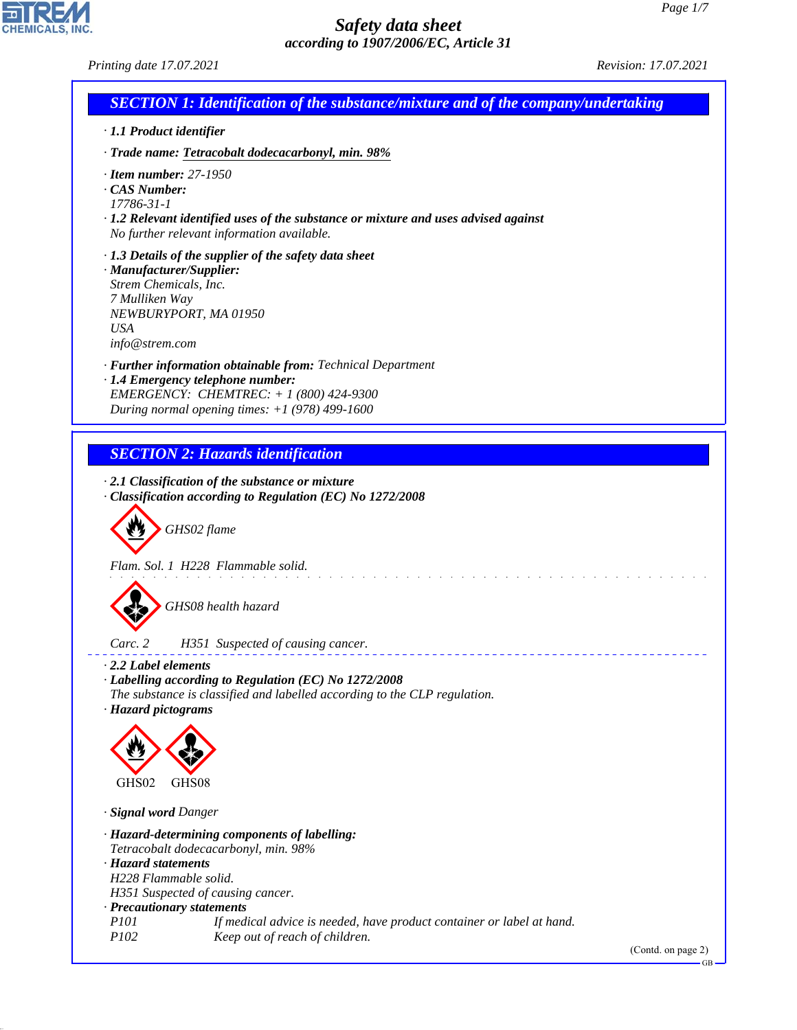*Printing date 17.07.2021 Revision: 17.07.2021*

CHEMICALS, INC.

44.1.1

| <b>SECTION 1: Identification of the substance/mixture and of the company/undertaking</b>                                                                                                                                                                                                  |
|-------------------------------------------------------------------------------------------------------------------------------------------------------------------------------------------------------------------------------------------------------------------------------------------|
| · 1.1 Product identifier                                                                                                                                                                                                                                                                  |
| · Trade name: Tetracobalt dodecacarbonyl, min. 98%                                                                                                                                                                                                                                        |
| $\cdot$ Item number: 27-1950<br>CAS Number:<br>17786-31-1<br>$\cdot$ 1.2 Relevant identified uses of the substance or mixture and uses advised against<br>No further relevant information available.                                                                                      |
| $\cdot$ 1.3 Details of the supplier of the safety data sheet<br>· Manufacturer/Supplier:<br>Strem Chemicals, Inc.<br>7 Mulliken Way<br>NEWBURYPORT, MA 01950<br><b>USA</b><br>info@strem.com                                                                                              |
| · Further information obtainable from: Technical Department<br>· 1.4 Emergency telephone number:<br>EMERGENCY: CHEMTREC: + 1 (800) 424-9300<br>During normal opening times: $+1$ (978) 499-1600                                                                                           |
| <b>SECTION 2: Hazards identification</b>                                                                                                                                                                                                                                                  |
| Classification according to Regulation (EC) No 1272/2008<br>GHS02 flame<br>Flam. Sol. 1 H228 Flammable solid.<br>GHS08 health hazard                                                                                                                                                      |
| Carc. 2<br>H351 Suspected of causing cancer.                                                                                                                                                                                                                                              |
| $\cdot$ 2.2 Label elements<br>· Labelling according to Regulation (EC) No 1272/2008<br>The substance is classified and labelled according to the CLP regulation.<br>· Hazard pictograms                                                                                                   |
| GHS02<br>GHS08                                                                                                                                                                                                                                                                            |
| · Signal word Danger                                                                                                                                                                                                                                                                      |
| · Hazard-determining components of labelling:<br>Tetracobalt dodecacarbonyl, min. 98%<br>· Hazard statements<br>H228 Flammable solid.<br>H351 Suspected of causing cancer.<br>· Precautionary statements<br>P101<br>If medical advice is needed, have product container or label at hand. |
| P102<br>Keep out of reach of children.<br>(Contd. on page 2)<br><b>GB</b>                                                                                                                                                                                                                 |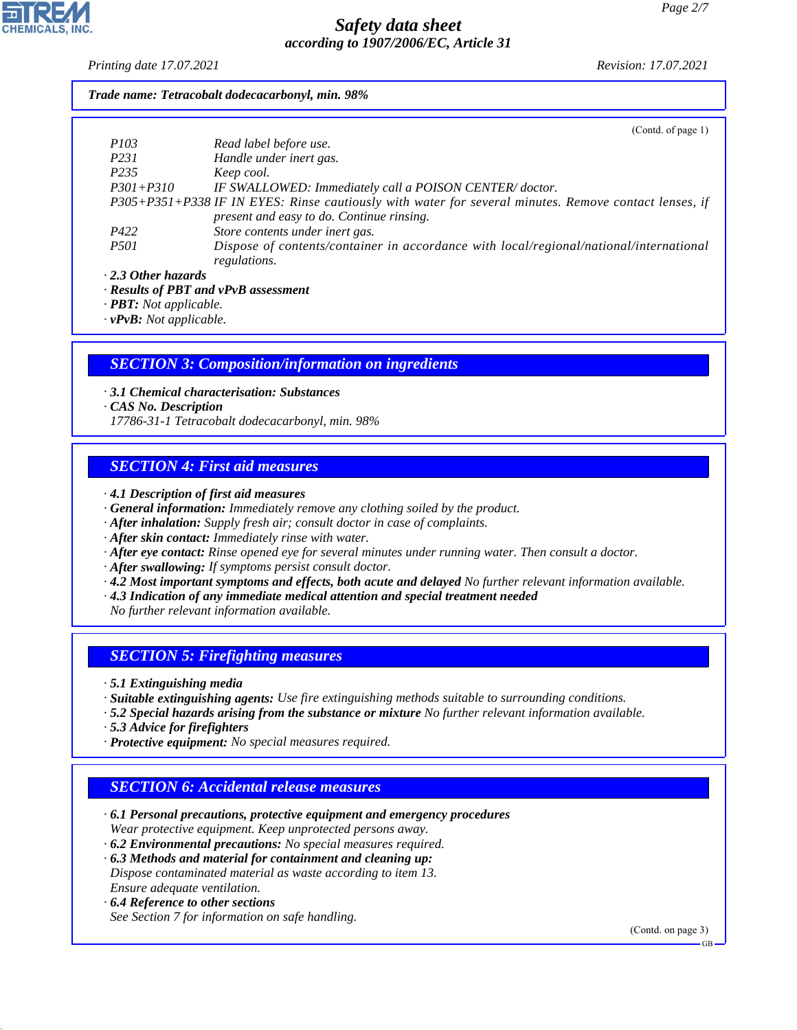*Printing date 17.07.2021 Revision: 17.07.2021*

### *Trade name: Tetracobalt dodecacarbonyl, min. 98%*

|                           | (Cond. of page 1)                                                                                     |
|---------------------------|-------------------------------------------------------------------------------------------------------|
| <i>P103</i>               | Read label before use.                                                                                |
| <i>P231</i>               | Handle under inert gas.                                                                               |
| P <sub>235</sub>          | Keep cool.                                                                                            |
| $P301 + P310$             | IF SWALLOWED: Immediately call a POISON CENTER/doctor.                                                |
|                           | P305+P351+P338 IF IN EYES: Rinse cautiously with water for several minutes. Remove contact lenses, if |
|                           | present and easy to do. Continue rinsing.                                                             |
| P422                      | Store contents under inert gas.                                                                       |
| <i>P501</i>               | Dispose of contents/container in accordance with local/regional/national/international                |
|                           | regulations.                                                                                          |
| $\cdot$ 2.3 Other hazards |                                                                                                       |
|                           |                                                                                                       |

*· Results of PBT and vPvB assessment*

*· PBT: Not applicable.*

*· vPvB: Not applicable.*

### *SECTION 3: Composition/information on ingredients*

*· 3.1 Chemical characterisation: Substances*

*· CAS No. Description*

*17786-31-1 Tetracobalt dodecacarbonyl, min. 98%*

# *SECTION 4: First aid measures*

*· 4.1 Description of first aid measures*

- *· General information: Immediately remove any clothing soiled by the product.*
- *· After inhalation: Supply fresh air; consult doctor in case of complaints.*
- *· After skin contact: Immediately rinse with water.*
- *· After eye contact: Rinse opened eye for several minutes under running water. Then consult a doctor.*
- *· After swallowing: If symptoms persist consult doctor.*
- *· 4.2 Most important symptoms and effects, both acute and delayed No further relevant information available.*
- *· 4.3 Indication of any immediate medical attention and special treatment needed*
- *No further relevant information available.*

# *SECTION 5: Firefighting measures*

*· 5.1 Extinguishing media*

- *· Suitable extinguishing agents: Use fire extinguishing methods suitable to surrounding conditions.*
- *· 5.2 Special hazards arising from the substance or mixture No further relevant information available.*
- *· 5.3 Advice for firefighters*
- *· Protective equipment: No special measures required.*

# *SECTION 6: Accidental release measures*

- *· 6.1 Personal precautions, protective equipment and emergency procedures Wear protective equipment. Keep unprotected persons away.*
- *· 6.2 Environmental precautions: No special measures required.*
- *· 6.3 Methods and material for containment and cleaning up: Dispose contaminated material as waste according to item 13. Ensure adequate ventilation.*
- *· 6.4 Reference to other sections*

44.1.1

*See Section 7 for information on safe handling.*

(Contd. on page 3)

GB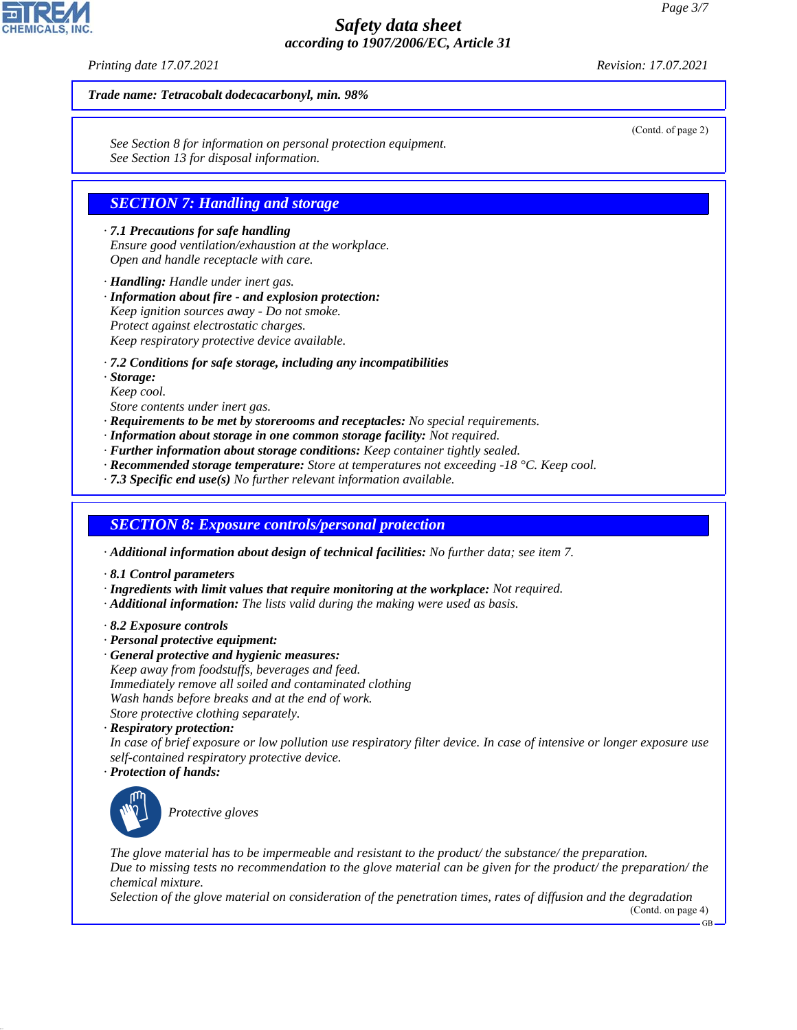*Printing date 17.07.2021 Revision: 17.07.2021*

(Contd. of page 2)

#### *Trade name: Tetracobalt dodecacarbonyl, min. 98%*

*See Section 8 for information on personal protection equipment. See Section 13 for disposal information.*

### *SECTION 7: Handling and storage*

*· 7.1 Precautions for safe handling Ensure good ventilation/exhaustion at the workplace. Open and handle receptacle with care.*

*· Handling: Handle under inert gas.*

*· Information about fire - and explosion protection: Keep ignition sources away - Do not smoke. Protect against electrostatic charges. Keep respiratory protective device available.*

*· 7.2 Conditions for safe storage, including any incompatibilities*

*· Storage:*

*Keep cool.*

*Store contents under inert gas.*

- *· Requirements to be met by storerooms and receptacles: No special requirements.*
- *· Information about storage in one common storage facility: Not required.*
- *· Further information about storage conditions: Keep container tightly sealed.*
- *· Recommended storage temperature: Store at temperatures not exceeding -18 °C. Keep cool.*
- *· 7.3 Specific end use(s) No further relevant information available.*

#### *SECTION 8: Exposure controls/personal protection*

- *· Additional information about design of technical facilities: No further data; see item 7.*
- *· 8.1 Control parameters*
- *· Ingredients with limit values that require monitoring at the workplace: Not required.*
- *· Additional information: The lists valid during the making were used as basis.*
- *· 8.2 Exposure controls*
- *· Personal protective equipment:*
- *· General protective and hygienic measures: Keep away from foodstuffs, beverages and feed. Immediately remove all soiled and contaminated clothing Wash hands before breaks and at the end of work. Store protective clothing separately.*
- *· Respiratory protection:*

*In case of brief exposure or low pollution use respiratory filter device. In case of intensive or longer exposure use self-contained respiratory protective device. · Protection of hands:*



44.1.1

\_S*Protective gloves*

*The glove material has to be impermeable and resistant to the product/ the substance/ the preparation. Due to missing tests no recommendation to the glove material can be given for the product/ the preparation/ the chemical mixture.*

*Selection of the glove material on consideration of the penetration times, rates of diffusion and the degradation* (Contd. on page 4)

GB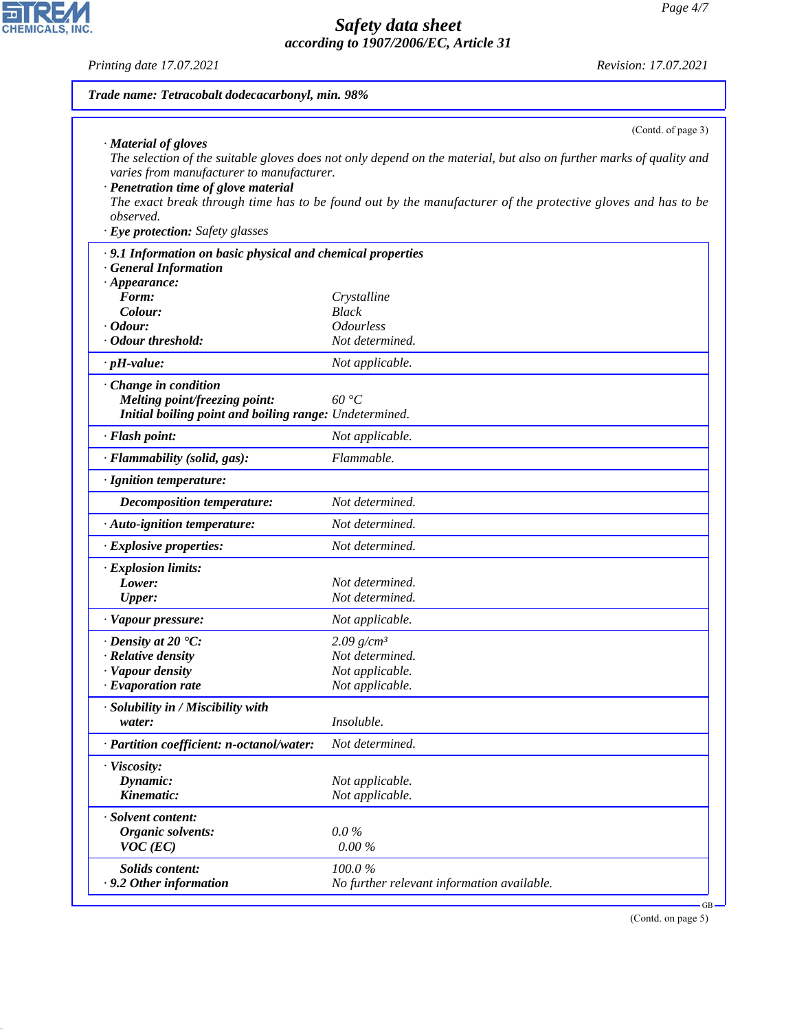*Printing date 17.07.2021 Revision: 17.07.2021*

| Trade name: Tetracobalt dodecacarbonyl, min. 98%                                                                                                                 |                                                                                                                                                                                                                                    |  |  |  |
|------------------------------------------------------------------------------------------------------------------------------------------------------------------|------------------------------------------------------------------------------------------------------------------------------------------------------------------------------------------------------------------------------------|--|--|--|
|                                                                                                                                                                  | (Contd. of page 3)                                                                                                                                                                                                                 |  |  |  |
| $\cdot$ Material of gloves<br>varies from manufacturer to manufacturer.<br>· Penetration time of glove material<br>observed.<br>· Eye protection: Safety glasses | The selection of the suitable gloves does not only depend on the material, but also on further marks of quality and<br>The exact break through time has to be found out by the manufacturer of the protective gloves and has to be |  |  |  |
| .9.1 Information on basic physical and chemical properties                                                                                                       |                                                                                                                                                                                                                                    |  |  |  |
| <b>General Information</b>                                                                                                                                       |                                                                                                                                                                                                                                    |  |  |  |
| $\cdot$ Appearance:<br>Form:                                                                                                                                     | Crystalline                                                                                                                                                                                                                        |  |  |  |
| Colour:                                                                                                                                                          | <b>Black</b>                                                                                                                                                                                                                       |  |  |  |
| $\cdot$ Odour:                                                                                                                                                   | <b>Odourless</b>                                                                                                                                                                                                                   |  |  |  |
| · Odour threshold:                                                                                                                                               | Not determined.                                                                                                                                                                                                                    |  |  |  |
| $\cdot$ pH-value:                                                                                                                                                | Not applicable.                                                                                                                                                                                                                    |  |  |  |
| Change in condition<br><b>Melting point/freezing point:</b><br>Initial boiling point and boiling range: Undetermined.                                            | 60 °C                                                                                                                                                                                                                              |  |  |  |
| · Flash point:                                                                                                                                                   | Not applicable.                                                                                                                                                                                                                    |  |  |  |
| · Flammability (solid, gas):                                                                                                                                     | Flammable.                                                                                                                                                                                                                         |  |  |  |
| · Ignition temperature:                                                                                                                                          |                                                                                                                                                                                                                                    |  |  |  |
| Decomposition temperature:                                                                                                                                       | Not determined.                                                                                                                                                                                                                    |  |  |  |
| · Auto-ignition temperature:                                                                                                                                     | Not determined.                                                                                                                                                                                                                    |  |  |  |
| · Explosive properties:                                                                                                                                          | Not determined.                                                                                                                                                                                                                    |  |  |  |
| · Explosion limits:                                                                                                                                              |                                                                                                                                                                                                                                    |  |  |  |
| Lower:<br><b>Upper:</b>                                                                                                                                          | Not determined.<br>Not determined.                                                                                                                                                                                                 |  |  |  |
|                                                                                                                                                                  | Not applicable.                                                                                                                                                                                                                    |  |  |  |
| · Vapour pressure:                                                                                                                                               |                                                                                                                                                                                                                                    |  |  |  |
| $\cdot$ Density at 20 $\textdegree$ C:<br>· Relative density                                                                                                     | $2.09$ g/cm <sup>3</sup><br>Not determined.                                                                                                                                                                                        |  |  |  |
| Vapour density                                                                                                                                                   | Not applicable.                                                                                                                                                                                                                    |  |  |  |
| $\cdot$ Evaporation rate                                                                                                                                         | Not applicable.                                                                                                                                                                                                                    |  |  |  |
| · Solubility in / Miscibility with<br>water:                                                                                                                     | Insoluble.                                                                                                                                                                                                                         |  |  |  |
| · Partition coefficient: n-octanol/water:                                                                                                                        | Not determined.                                                                                                                                                                                                                    |  |  |  |
| · Viscosity:<br>Dynamic:<br>Kinematic:                                                                                                                           | Not applicable.<br>Not applicable.                                                                                                                                                                                                 |  |  |  |
| · Solvent content:<br>Organic solvents:<br>$VOC$ (EC)                                                                                                            | $0.0\%$<br>$0.00\%$                                                                                                                                                                                                                |  |  |  |
| Solids content:<br>. 9.2 Other information                                                                                                                       | 100.0%<br>No further relevant information available.                                                                                                                                                                               |  |  |  |

(Contd. on page 5)



44.1.1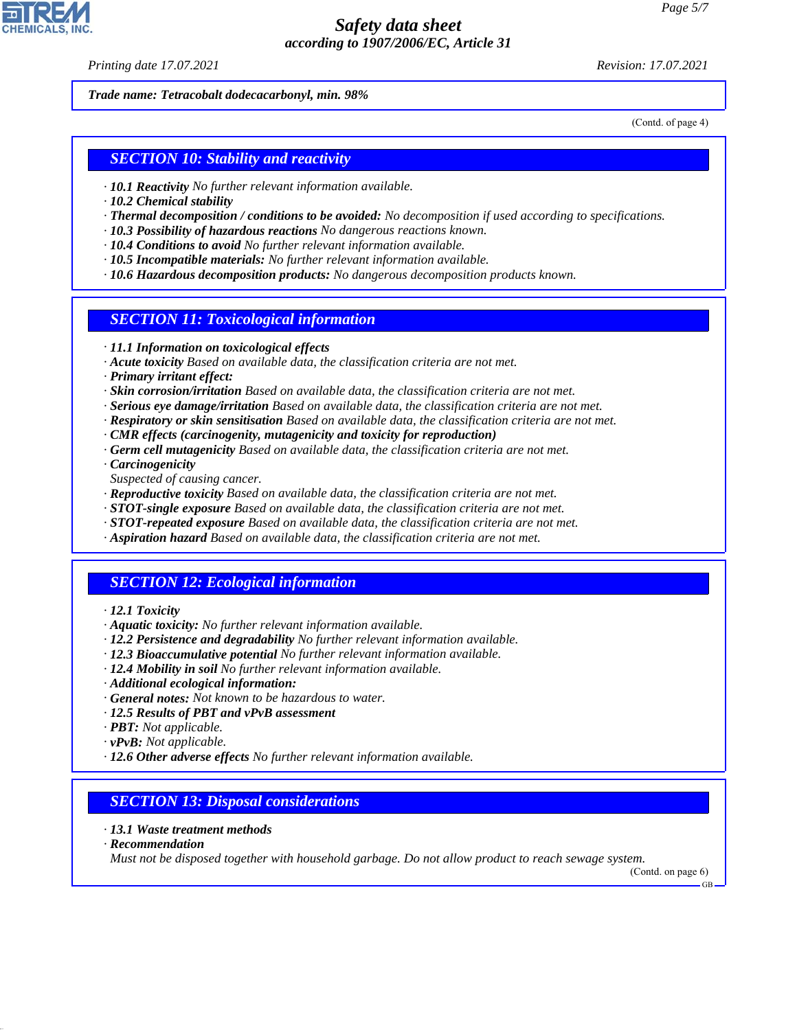*Printing date 17.07.2021 Revision: 17.07.2021*

*Trade name: Tetracobalt dodecacarbonyl, min. 98%*

(Contd. of page 4)

### *SECTION 10: Stability and reactivity*

- *· 10.1 Reactivity No further relevant information available.*
- *· 10.2 Chemical stability*
- *· Thermal decomposition / conditions to be avoided: No decomposition if used according to specifications.*
- *· 10.3 Possibility of hazardous reactions No dangerous reactions known.*
- *· 10.4 Conditions to avoid No further relevant information available.*
- *· 10.5 Incompatible materials: No further relevant information available.*
- *· 10.6 Hazardous decomposition products: No dangerous decomposition products known.*

### *SECTION 11: Toxicological information*

- *· 11.1 Information on toxicological effects*
- *· Acute toxicity Based on available data, the classification criteria are not met.*
- *· Primary irritant effect:*
- *· Skin corrosion/irritation Based on available data, the classification criteria are not met.*
- *· Serious eye damage/irritation Based on available data, the classification criteria are not met.*
- *· Respiratory or skin sensitisation Based on available data, the classification criteria are not met.*
- *· CMR effects (carcinogenity, mutagenicity and toxicity for reproduction)*
- *· Germ cell mutagenicity Based on available data, the classification criteria are not met.*
- *· Carcinogenicity*
- *Suspected of causing cancer.*
- *· Reproductive toxicity Based on available data, the classification criteria are not met.*
- *· STOT-single exposure Based on available data, the classification criteria are not met.*
- *· STOT-repeated exposure Based on available data, the classification criteria are not met.*
- *· Aspiration hazard Based on available data, the classification criteria are not met.*

### *SECTION 12: Ecological information*

- *· 12.1 Toxicity*
- *· Aquatic toxicity: No further relevant information available.*
- *· 12.2 Persistence and degradability No further relevant information available.*
- *· 12.3 Bioaccumulative potential No further relevant information available.*
- *· 12.4 Mobility in soil No further relevant information available.*
- *· Additional ecological information:*
- *· General notes: Not known to be hazardous to water.*
- *· 12.5 Results of PBT and vPvB assessment*
- *· PBT: Not applicable.*
- *· vPvB: Not applicable.*
- *· 12.6 Other adverse effects No further relevant information available.*

### *SECTION 13: Disposal considerations*

- *· 13.1 Waste treatment methods*
- *· Recommendation*

44.1.1

*Must not be disposed together with household garbage. Do not allow product to reach sewage system.*

(Contd. on page 6) GB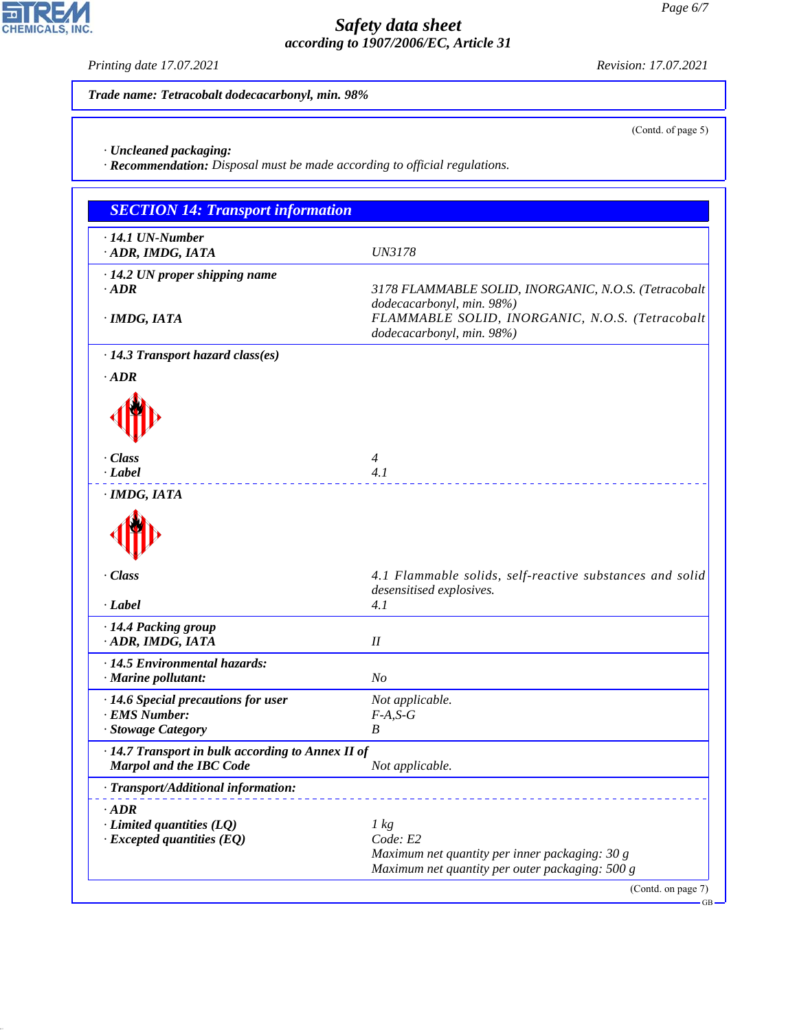GB

# *Safety data sheet according to 1907/2006/EC, Article 31*

*Trade name: Tetracobalt dodecacarbonyl, min. 98%* (Contd. of page 5) *· Uncleaned packaging: · Recommendation: Disposal must be made according to official regulations. SECTION 14: Transport information · 14.1 UN-Number · ADR, IMDG, IATA UN3178 · 14.2 UN proper shipping name · ADR 3178 FLAMMABLE SOLID, INORGANIC, N.O.S. (Tetracobalt dodecacarbonyl, min. 98%) · IMDG, IATA FLAMMABLE SOLID, INORGANIC, N.O.S. (Tetracobalt dodecacarbonyl, min. 98%) · 14.3 Transport hazard class(es) · ADR*  $\P$ *· Class 4 · Label 4.1 · IMDG, IATA*  $\P$ *· Class 4.1 Flammable solids, self-reactive substances and solid desensitised explosives. · Label 4.1 · 14.4 Packing group · ADR, IMDG, IATA II · 14.5 Environmental hazards: · Marine pollutant: No · 14.6 Special precautions for user Not applicable. · EMS Number: F-A,S-G · Stowage Category B · 14.7 Transport in bulk according to Annex II of Marpol and the IBC Code Not applicable. · Transport/Additional information: · ADR · Limited quantities (LQ) 1 kg · Excepted quantities (EQ) Code: E2 Maximum net quantity per inner packaging: 30 g Maximum net quantity per outer packaging: 500 g* (Contd. on page 7)



44.1.1

*Printing date 17.07.2021 Revision: 17.07.2021*